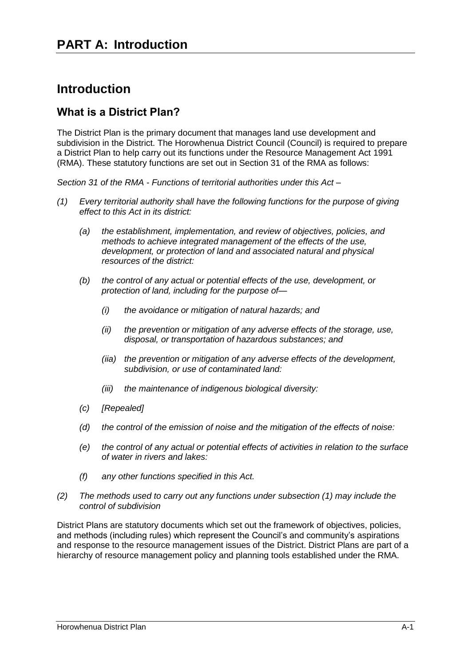## **Introduction**

### **What is a District Plan?**

The District Plan is the primary document that manages land use development and subdivision in the District. The Horowhenua District Council (Council) is required to prepare a District Plan to help carry out its functions under the Resource Management Act 1991 (RMA). These statutory functions are set out in Section 31 of the RMA as follows:

*Section 31 of the RMA - Functions of territorial authorities under this Act –*

- *(1) Every territorial authority shall have the following functions for the purpose of giving effect to this Act in its district:*
	- *(a) the establishment, implementation, and review of objectives, policies, and methods to achieve integrated management of the effects of the use, development, or protection of land and associated natural and physical resources of the district:*
	- *(b) the control of any actual or potential effects of the use, development, or protection of land, including for the purpose of—*
		- *(i) the avoidance or mitigation of natural hazards; and*
		- *(ii) the prevention or mitigation of any adverse effects of the storage, use, disposal, or transportation of hazardous substances; and*
		- *(iia) the prevention or mitigation of any adverse effects of the development, subdivision, or use of contaminated land:*
		- *(iii) the maintenance of indigenous biological diversity:*
	- *(c) [Repealed]*
	- *(d) the control of the emission of noise and the mitigation of the effects of noise:*
	- *(e) the control of any actual or potential effects of activities in relation to the surface of water in rivers and lakes:*
	- *(f) any other functions specified in this Act.*
- *(2) The methods used to carry out any functions under subsection (1) may include the control of subdivision*

District Plans are statutory documents which set out the framework of objectives, policies, and methods (including rules) which represent the Council's and community's aspirations and response to the resource management issues of the District. District Plans are part of a hierarchy of resource management policy and planning tools established under the RMA.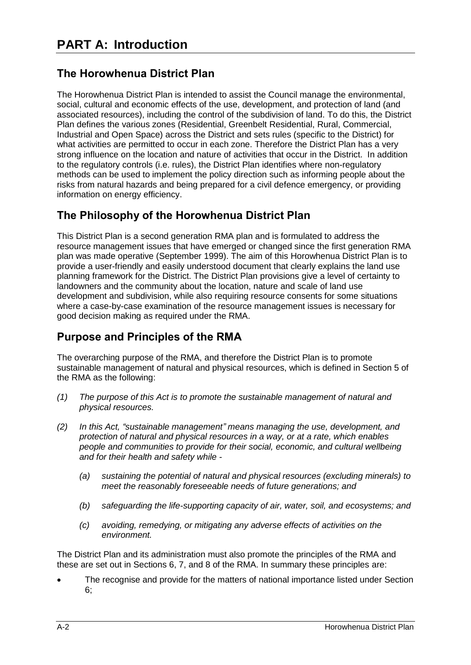## **The Horowhenua District Plan**

The Horowhenua District Plan is intended to assist the Council manage the environmental, social, cultural and economic effects of the use, development, and protection of land (and associated resources), including the control of the subdivision of land. To do this, the District Plan defines the various zones (Residential, Greenbelt Residential, Rural, Commercial, Industrial and Open Space) across the District and sets rules (specific to the District) for what activities are permitted to occur in each zone. Therefore the District Plan has a very strong influence on the location and nature of activities that occur in the District. In addition to the regulatory controls (i.e. rules), the District Plan identifies where non-regulatory methods can be used to implement the policy direction such as informing people about the risks from natural hazards and being prepared for a civil defence emergency, or providing information on energy efficiency.

### **The Philosophy of the Horowhenua District Plan**

This District Plan is a second generation RMA plan and is formulated to address the resource management issues that have emerged or changed since the first generation RMA plan was made operative (September 1999). The aim of this Horowhenua District Plan is to provide a user-friendly and easily understood document that clearly explains the land use planning framework for the District. The District Plan provisions give a level of certainty to landowners and the community about the location, nature and scale of land use development and subdivision, while also requiring resource consents for some situations where a case-by-case examination of the resource management issues is necessary for good decision making as required under the RMA.

### **Purpose and Principles of the RMA**

The overarching purpose of the RMA, and therefore the District Plan is to promote sustainable management of natural and physical resources, which is defined in Section 5 of the RMA as the following:

- *(1) The purpose of this Act is to promote the sustainable management of natural and physical resources.*
- *(2) In this Act, "sustainable management" means managing the use, development, and protection of natural and physical resources in a way, or at a rate, which enables people and communities to provide for their social, economic, and cultural wellbeing and for their health and safety while -*
	- *(a) sustaining the potential of natural and physical resources (excluding minerals) to meet the reasonably foreseeable needs of future generations; and*
	- *(b) safeguarding the life-supporting capacity of air, water, soil, and ecosystems; and*
	- *(c) avoiding, remedying, or mitigating any adverse effects of activities on the environment.*

The District Plan and its administration must also promote the principles of the RMA and these are set out in Sections 6, 7, and 8 of the RMA. In summary these principles are:

 The recognise and provide for the matters of national importance listed under Section 6;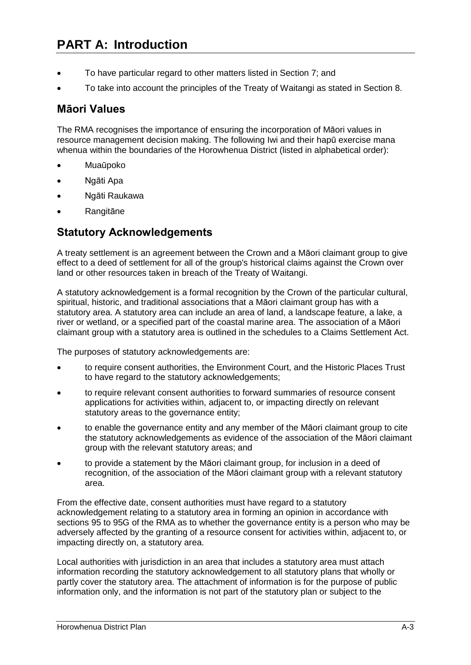- To have particular regard to other matters listed in Section 7; and
- To take into account the principles of the Treaty of Waitangi as stated in Section 8.

### **Māori Values**

The RMA recognises the importance of ensuring the incorporation of Māori values in resource management decision making. The following Iwi and their hapū exercise mana whenua within the boundaries of the Horowhenua District (listed in alphabetical order):

- Muaūpoko
- Ngāti Apa
- Ngāti Raukawa
- Rangitāne

### **Statutory Acknowledgements**

A treaty settlement is an agreement between the Crown and a Māori claimant group to give effect to a deed of settlement for all of the group's historical claims against the Crown over land or other resources taken in breach of the Treaty of Waitangi.

A statutory acknowledgement is a formal recognition by the Crown of the particular cultural, spiritual, historic, and traditional associations that a Māori claimant group has with a statutory area. A statutory area can include an area of land, a landscape feature, a lake, a river or wetland, or a specified part of the coastal marine area. The association of a Māori claimant group with a statutory area is outlined in the schedules to a Claims Settlement Act.

The purposes of statutory acknowledgements are:

- to require consent authorities, the Environment Court, and the Historic Places Trust to have regard to the statutory acknowledgements;
- to require relevant consent authorities to forward summaries of resource consent applications for activities within, adjacent to, or impacting directly on relevant statutory areas to the governance entity;
- to enable the governance entity and any member of the Māori claimant group to cite the statutory acknowledgements as evidence of the association of the Māori claimant group with the relevant statutory areas; and
- to provide a statement by the Māori claimant group, for inclusion in a deed of recognition, of the association of the Māori claimant group with a relevant statutory area.

From the effective date, consent authorities must have regard to a statutory acknowledgement relating to a statutory area in forming an opinion in accordance with sections 95 to 95G of the RMA as to whether the governance entity is a person who may be adversely affected by the granting of a resource consent for activities within, adjacent to, or impacting directly on, a statutory area.

Local authorities with jurisdiction in an area that includes a statutory area must attach information recording the statutory acknowledgement to all statutory plans that wholly or partly cover the statutory area. The attachment of information is for the purpose of public information only, and the information is not part of the statutory plan or subject to the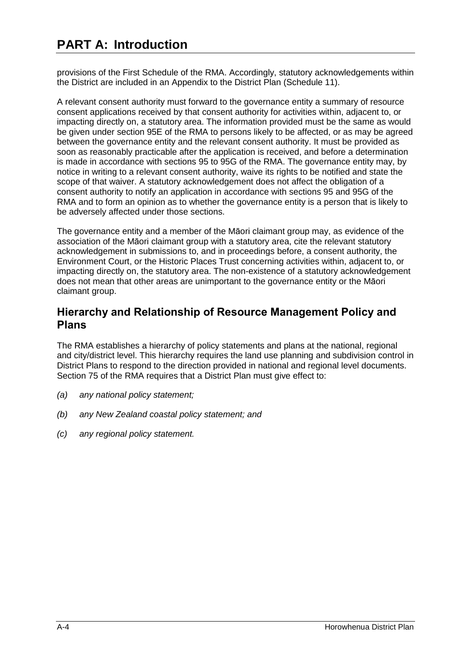provisions of the First Schedule of the RMA. Accordingly, statutory acknowledgements within the District are included in an Appendix to the District Plan (Schedule 11).

A relevant consent authority must forward to the governance entity a summary of resource consent applications received by that consent authority for activities within, adjacent to, or impacting directly on, a statutory area. The information provided must be the same as would be given under section 95E of the RMA to persons likely to be affected, or as may be agreed between the governance entity and the relevant consent authority. It must be provided as soon as reasonably practicable after the application is received, and before a determination is made in accordance with sections 95 to 95G of the RMA. The governance entity may, by notice in writing to a relevant consent authority, waive its rights to be notified and state the scope of that waiver. A statutory acknowledgement does not affect the obligation of a consent authority to notify an application in accordance with sections 95 and 95G of the RMA and to form an opinion as to whether the governance entity is a person that is likely to be adversely affected under those sections.

The governance entity and a member of the Māori claimant group may, as evidence of the association of the Māori claimant group with a statutory area, cite the relevant statutory acknowledgement in submissions to, and in proceedings before, a consent authority, the Environment Court, or the Historic Places Trust concerning activities within, adjacent to, or impacting directly on, the statutory area. The non-existence of a statutory acknowledgement does not mean that other areas are unimportant to the governance entity or the Māori claimant group.

### **Hierarchy and Relationship of Resource Management Policy and Plans**

The RMA establishes a hierarchy of policy statements and plans at the national, regional and city/district level. This hierarchy requires the land use planning and subdivision control in District Plans to respond to the direction provided in national and regional level documents. Section 75 of the RMA requires that a District Plan must give effect to:

- *(a) any national policy statement;*
- *(b) any New Zealand coastal policy statement; and*
- *(c) any regional policy statement.*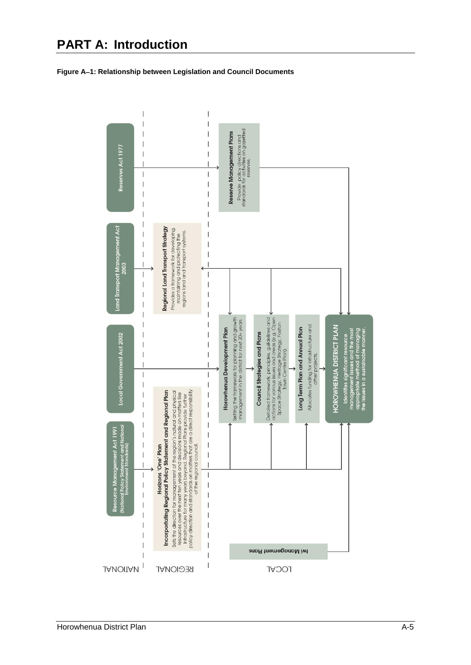

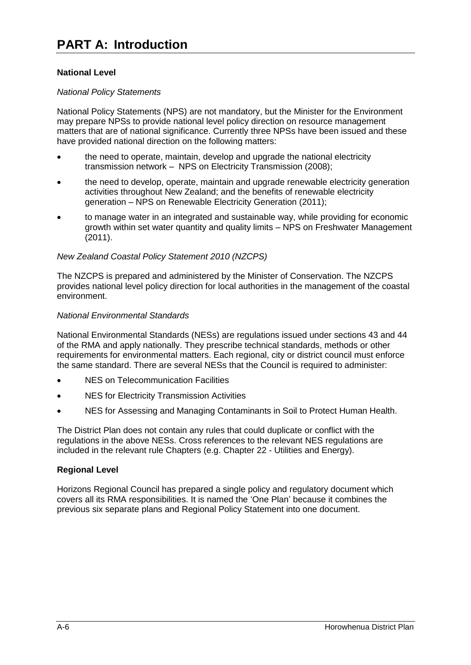#### **National Level**

#### *National Policy Statements*

National Policy Statements (NPS) are not mandatory, but the Minister for the Environment may prepare NPSs to provide national level policy direction on resource management matters that are of national significance. Currently three NPSs have been issued and these have provided national direction on the following matters:

- the need to operate, maintain, develop and upgrade the national electricity transmission network – NPS on Electricity Transmission (2008);
- the need to develop, operate, maintain and upgrade renewable electricity generation activities throughout New Zealand; and the benefits of renewable electricity generation – NPS on Renewable Electricity Generation (2011);
- to manage water in an integrated and sustainable way, while providing for economic growth within set water quantity and quality limits – NPS on Freshwater Management (2011).

#### *New Zealand Coastal Policy Statement 2010 (NZCPS)*

The NZCPS is prepared and administered by the Minister of Conservation. The NZCPS provides national level policy direction for local authorities in the management of the coastal environment.

#### *National Environmental Standards*

National Environmental Standards (NESs) are regulations issued under sections 43 and 44 of the RMA and apply nationally. They prescribe technical standards, methods or other requirements for environmental matters. Each regional, city or district council must enforce the same standard. There are several NESs that the Council is required to administer:

- NES on Telecommunication Facilities
- NES for Electricity Transmission Activities
- NES for Assessing and Managing Contaminants in Soil to Protect Human Health.

The District Plan does not contain any rules that could duplicate or conflict with the regulations in the above NESs. Cross references to the relevant NES regulations are included in the relevant rule Chapters (e.g. Chapter 22 - Utilities and Energy).

#### **Regional Level**

Horizons Regional Council has prepared a single policy and regulatory document which covers all its RMA responsibilities. It is named the 'One Plan' because it combines the previous six separate plans and Regional Policy Statement into one document.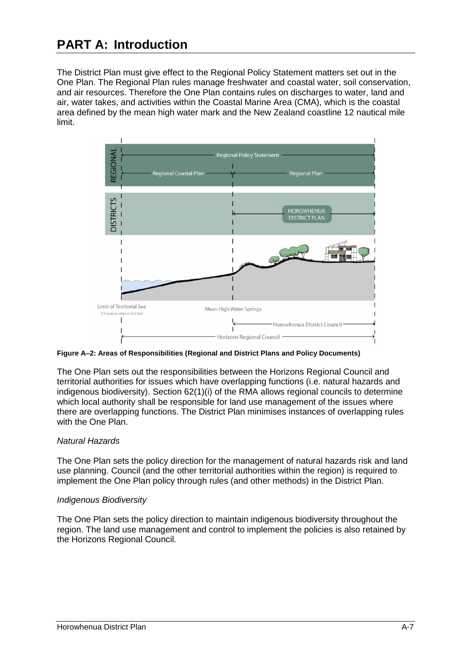The District Plan must give effect to the Regional Policy Statement matters set out in the One Plan. The Regional Plan rules manage freshwater and coastal water, soil conservation, and air resources. Therefore the One Plan contains rules on discharges to water, land and air, water takes, and activities within the Coastal Marine Area (CMA), which is the coastal area defined by the mean high water mark and the New Zealand coastline 12 nautical mile limit.



**Figure A2: Areas of Responsibilities (Regional and District Plans and Policy Documents)**

The One Plan sets out the responsibilities between the Horizons Regional Council and territorial authorities for issues which have overlapping functions (i.e. natural hazards and indigenous biodiversity). Section 62(1)(i) of the RMA allows regional councils to determine which local authority shall be responsible for land use management of the issues where there are overlapping functions. The District Plan minimises instances of overlapping rules with the One Plan.

#### *Natural Hazards*

The One Plan sets the policy direction for the management of natural hazards risk and land use planning. Council (and the other territorial authorities within the region) is required to implement the One Plan policy through rules (and other methods) in the District Plan.

#### *Indigenous Biodiversity*

The One Plan sets the policy direction to maintain indigenous biodiversity throughout the region. The land use management and control to implement the policies is also retained by the Horizons Regional Council.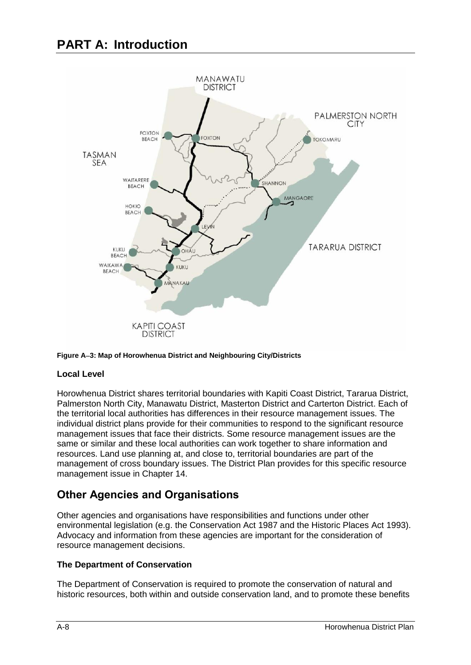



#### **Local Level**

Horowhenua District shares territorial boundaries with Kapiti Coast District, Tararua District, Palmerston North City, Manawatu District, Masterton District and Carterton District. Each of the territorial local authorities has differences in their resource management issues. The individual district plans provide for their communities to respond to the significant resource management issues that face their districts. Some resource management issues are the same or similar and these local authorities can work together to share information and resources. Land use planning at, and close to, territorial boundaries are part of the management of cross boundary issues. The District Plan provides for this specific resource management issue in Chapter 14.

## **Other Agencies and Organisations**

Other agencies and organisations have responsibilities and functions under other environmental legislation (e.g. the Conservation Act 1987 and the Historic Places Act 1993). Advocacy and information from these agencies are important for the consideration of resource management decisions.

#### **The Department of Conservation**

The Department of Conservation is required to promote the conservation of natural and historic resources, both within and outside conservation land, and to promote these benefits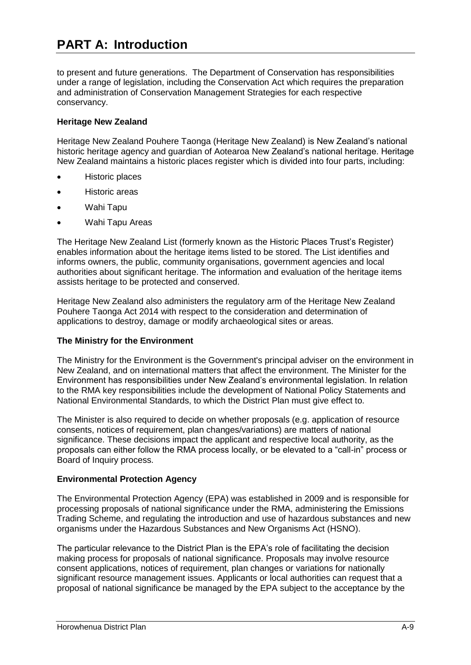to present and future generations. The Department of Conservation has responsibilities under a range of legislation, including the Conservation Act which requires the preparation and administration of Conservation Management Strategies for each respective conservancy.

#### **Heritage New Zealand**

Heritage New Zealand Pouhere Taonga (Heritage New Zealand) is New Zealand's national historic heritage agency and guardian of Aotearoa New Zealand's national heritage. Heritage New Zealand maintains a historic places register which is divided into four parts, including:

- Historic places
- Historic areas
- Wahi Tapu
- Wahi Tapu Areas

The Heritage New Zealand List (formerly known as the Historic Places Trust's Register) enables information about the heritage items listed to be stored. The List identifies and informs owners, the public, community organisations, government agencies and local authorities about significant heritage. The information and evaluation of the heritage items assists heritage to be protected and conserved.

Heritage New Zealand also administers the regulatory arm of the Heritage New Zealand Pouhere Taonga Act 2014 with respect to the consideration and determination of applications to destroy, damage or modify archaeological sites or areas.

#### **The Ministry for the Environment**

The Ministry for the Environment is the Government's principal adviser on the environment in New Zealand, and on international matters that affect the environment. The Minister for the Environment has responsibilities under New Zealand's environmental legislation. In relation to the RMA key responsibilities include the development of National Policy Statements and National Environmental Standards, to which the District Plan must give effect to.

The Minister is also required to decide on whether proposals (e.g. application of resource consents, notices of requirement, plan changes/variations) are matters of national significance. These decisions impact the applicant and respective local authority, as the proposals can either follow the RMA process locally, or be elevated to a "call-in" process or Board of Inquiry process.

#### **Environmental Protection Agency**

The Environmental Protection Agency (EPA) was established in 2009 and is responsible for processing proposals of national significance under the RMA, administering the Emissions Trading Scheme, and regulating the introduction and use of hazardous substances and new organisms under the Hazardous Substances and New Organisms Act (HSNO).

The particular relevance to the District Plan is the EPA's role of facilitating the decision making process for proposals of national significance. Proposals may involve resource consent applications, notices of requirement, plan changes or variations for nationally significant resource management issues. Applicants or local authorities can request that a proposal of national significance be managed by the EPA subject to the acceptance by the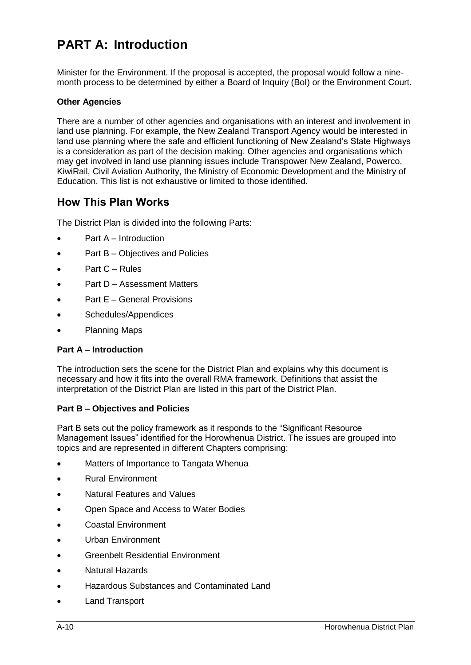Minister for the Environment. If the proposal is accepted, the proposal would follow a ninemonth process to be determined by either a Board of Inquiry (BoI) or the Environment Court.

#### **Other Agencies**

There are a number of other agencies and organisations with an interest and involvement in land use planning. For example, the New Zealand Transport Agency would be interested in land use planning where the safe and efficient functioning of New Zealand's State Highways is a consideration as part of the decision making. Other agencies and organisations which may get involved in land use planning issues include Transpower New Zealand, Powerco, KiwiRail, Civil Aviation Authority, the Ministry of Economic Development and the Ministry of Education. This list is not exhaustive or limited to those identified.

### **How This Plan Works**

The District Plan is divided into the following Parts:

- Part A Introduction
- Part B Objectives and Policies
- Part C Rules
- Part D Assessment Matters
- Part E General Provisions
- Schedules/Appendices
- Planning Maps

#### **Part A – Introduction**

The introduction sets the scene for the District Plan and explains why this document is necessary and how it fits into the overall RMA framework. Definitions that assist the interpretation of the District Plan are listed in this part of the District Plan.

#### **Part B – Objectives and Policies**

Part B sets out the policy framework as it responds to the "Significant Resource Management Issues" identified for the Horowhenua District. The issues are grouped into topics and are represented in different Chapters comprising:

- Matters of Importance to Tangata Whenua
- Rural Environment
- Natural Features and Values
- Open Space and Access to Water Bodies
- Coastal Environment
- Urban Environment
- Greenbelt Residential Environment
- Natural Hazards
- Hazardous Substances and Contaminated Land
- Land Transport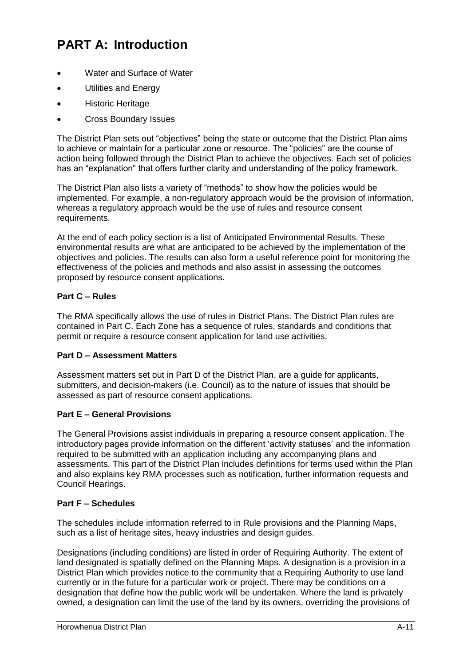- Water and Surface of Water
- Utilities and Energy
- Historic Heritage
- Cross Boundary Issues

The District Plan sets out "objectives" being the state or outcome that the District Plan aims to achieve or maintain for a particular zone or resource. The "policies" are the course of action being followed through the District Plan to achieve the objectives. Each set of policies has an "explanation" that offers further clarity and understanding of the policy framework.

The District Plan also lists a variety of "methods" to show how the policies would be implemented. For example, a non-regulatory approach would be the provision of information, whereas a regulatory approach would be the use of rules and resource consent requirements.

At the end of each policy section is a list of Anticipated Environmental Results. These environmental results are what are anticipated to be achieved by the implementation of the objectives and policies. The results can also form a useful reference point for monitoring the effectiveness of the policies and methods and also assist in assessing the outcomes proposed by resource consent applications.

#### **Part C – Rules**

The RMA specifically allows the use of rules in District Plans. The District Plan rules are contained in Part C. Each Zone has a sequence of rules, standards and conditions that permit or require a resource consent application for land use activities.

#### **Part D – Assessment Matters**

Assessment matters set out in Part D of the District Plan, are a guide for applicants, submitters, and decision-makers (i.e. Council) as to the nature of issues that should be assessed as part of resource consent applications.

#### **Part E – General Provisions**

The General Provisions assist individuals in preparing a resource consent application. The introductory pages provide information on the different 'activity statuses' and the information required to be submitted with an application including any accompanying plans and assessments. This part of the District Plan includes definitions for terms used within the Plan and also explains key RMA processes such as notification, further information requests and Council Hearings.

#### **Part F – Schedules**

The schedules include information referred to in Rule provisions and the Planning Maps, such as a list of heritage sites, heavy industries and design guides.

Designations (including conditions) are listed in order of Requiring Authority. The extent of land designated is spatially defined on the Planning Maps. A designation is a provision in a District Plan which provides notice to the community that a Requiring Authority to use land currently or in the future for a particular work or project. There may be conditions on a designation that define how the public work will be undertaken. Where the land is privately owned, a designation can limit the use of the land by its owners, overriding the provisions of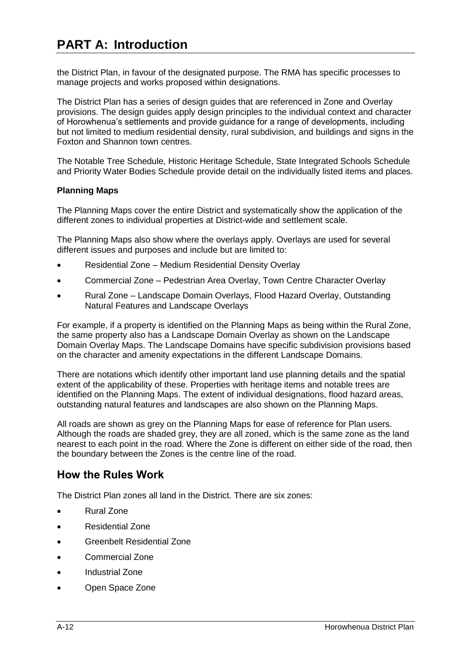the District Plan, in favour of the designated purpose. The RMA has specific processes to manage projects and works proposed within designations.

The District Plan has a series of design guides that are referenced in Zone and Overlay provisions. The design guides apply design principles to the individual context and character of Horowhenua's settlements and provide guidance for a range of developments, including but not limited to medium residential density, rural subdivision, and buildings and signs in the Foxton and Shannon town centres.

The Notable Tree Schedule, Historic Heritage Schedule, State Integrated Schools Schedule and Priority Water Bodies Schedule provide detail on the individually listed items and places.

#### **Planning Maps**

The Planning Maps cover the entire District and systematically show the application of the different zones to individual properties at District-wide and settlement scale.

The Planning Maps also show where the overlays apply. Overlays are used for several different issues and purposes and include but are limited to:

- Residential Zone Medium Residential Density Overlay
- Commercial Zone Pedestrian Area Overlay, Town Centre Character Overlay
- Rural Zone Landscape Domain Overlays, Flood Hazard Overlay, Outstanding Natural Features and Landscape Overlays

For example, if a property is identified on the Planning Maps as being within the Rural Zone, the same property also has a Landscape Domain Overlay as shown on the Landscape Domain Overlay Maps. The Landscape Domains have specific subdivision provisions based on the character and amenity expectations in the different Landscape Domains.

There are notations which identify other important land use planning details and the spatial extent of the applicability of these. Properties with heritage items and notable trees are identified on the Planning Maps. The extent of individual designations, flood hazard areas, outstanding natural features and landscapes are also shown on the Planning Maps.

All roads are shown as grey on the Planning Maps for ease of reference for Plan users. Although the roads are shaded grey, they are all zoned, which is the same zone as the land nearest to each point in the road. Where the Zone is different on either side of the road, then the boundary between the Zones is the centre line of the road.

### **How the Rules Work**

The District Plan zones all land in the District. There are six zones:

- Rural Zone
- Residential Zone
- Greenbelt Residential Zone
- Commercial Zone
- Industrial Zone
- Open Space Zone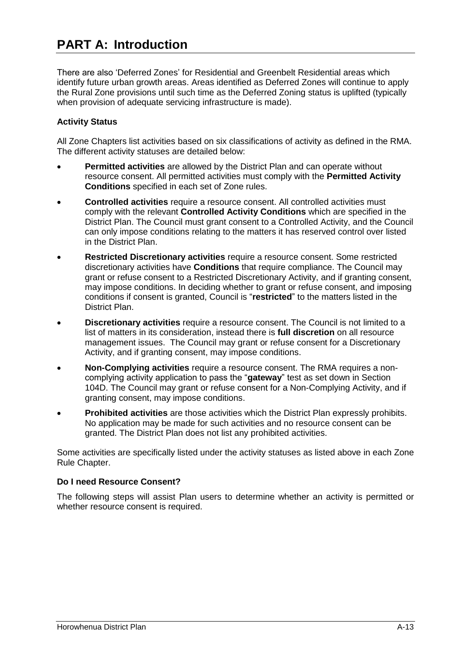There are also 'Deferred Zones' for Residential and Greenbelt Residential areas which identify future urban growth areas. Areas identified as Deferred Zones will continue to apply the Rural Zone provisions until such time as the Deferred Zoning status is uplifted (typically when provision of adequate servicing infrastructure is made).

#### **Activity Status**

All Zone Chapters list activities based on six classifications of activity as defined in the RMA. The different activity statuses are detailed below:

- **Permitted activities** are allowed by the District Plan and can operate without resource consent. All permitted activities must comply with the **Permitted Activity Conditions** specified in each set of Zone rules.
- **Controlled activities** require a resource consent. All controlled activities must comply with the relevant **Controlled Activity Conditions** which are specified in the District Plan. The Council must grant consent to a Controlled Activity, and the Council can only impose conditions relating to the matters it has reserved control over listed in the District Plan.
- **Restricted Discretionary activities** require a resource consent. Some restricted discretionary activities have **Conditions** that require compliance. The Council may grant or refuse consent to a Restricted Discretionary Activity, and if granting consent, may impose conditions. In deciding whether to grant or refuse consent, and imposing conditions if consent is granted, Council is "**restricted**" to the matters listed in the District Plan.
- **Discretionary activities** require a resource consent. The Council is not limited to a list of matters in its consideration, instead there is **full discretion** on all resource management issues. The Council may grant or refuse consent for a Discretionary Activity, and if granting consent, may impose conditions.
- **Non-Complying activities** require a resource consent. The RMA requires a noncomplying activity application to pass the "**gateway**" test as set down in Section 104D. The Council may grant or refuse consent for a Non-Complying Activity, and if granting consent, may impose conditions.
- **Prohibited activities** are those activities which the District Plan expressly prohibits. No application may be made for such activities and no resource consent can be granted. The District Plan does not list any prohibited activities.

Some activities are specifically listed under the activity statuses as listed above in each Zone Rule Chapter.

#### **Do I need Resource Consent?**

The following steps will assist Plan users to determine whether an activity is permitted or whether resource consent is required.